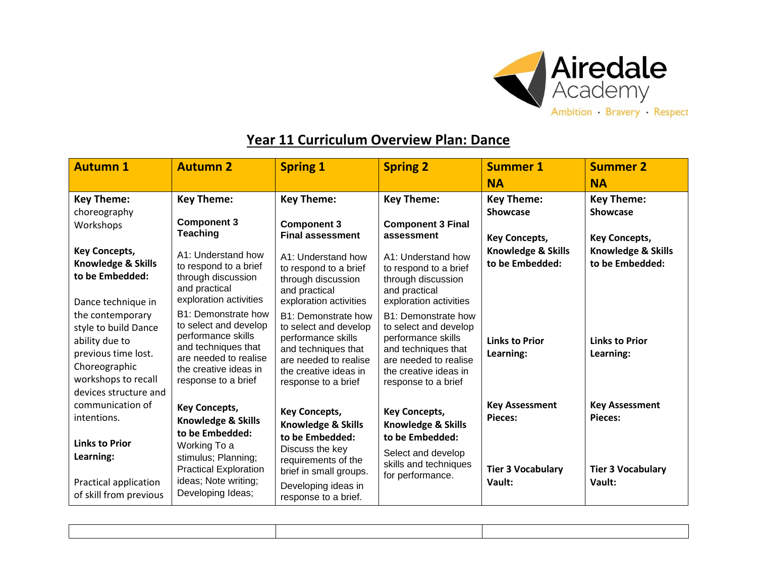

## **Year 11 Curriculum Overview Plan: Dance**

| <b>Autumn 1</b>                                                                                                                                    | <b>Autumn 2</b>                                                                                                                                                    | <b>Spring 1</b>                                                                                                                                                    | <b>Spring 2</b>                                                                                                                                                    | <b>Summer 1</b>                         | <b>Summer 2</b>                         |
|----------------------------------------------------------------------------------------------------------------------------------------------------|--------------------------------------------------------------------------------------------------------------------------------------------------------------------|--------------------------------------------------------------------------------------------------------------------------------------------------------------------|--------------------------------------------------------------------------------------------------------------------------------------------------------------------|-----------------------------------------|-----------------------------------------|
|                                                                                                                                                    |                                                                                                                                                                    |                                                                                                                                                                    |                                                                                                                                                                    | <b>NA</b>                               | <b>NA</b>                               |
| <b>Key Theme:</b>                                                                                                                                  | <b>Key Theme:</b>                                                                                                                                                  | <b>Key Theme:</b>                                                                                                                                                  | <b>Key Theme:</b>                                                                                                                                                  | <b>Key Theme:</b>                       | <b>Key Theme:</b>                       |
| choreography<br>Workshops                                                                                                                          | <b>Component 3</b><br><b>Teaching</b>                                                                                                                              | <b>Component 3</b><br><b>Final assessment</b>                                                                                                                      | <b>Component 3 Final</b><br>assessment                                                                                                                             | <b>Showcase</b><br><b>Key Concepts,</b> | <b>Showcase</b><br><b>Key Concepts,</b> |
| <b>Key Concepts,</b><br><b>Knowledge &amp; Skills</b><br>to be Embedded:<br>Dance technique in                                                     | A1: Understand how<br>to respond to a brief<br>through discussion<br>and practical<br>exploration activities                                                       | A1: Understand how<br>to respond to a brief<br>through discussion<br>and practical<br>exploration activities                                                       | A1: Understand how<br>to respond to a brief<br>through discussion<br>and practical<br>exploration activities                                                       | Knowledge & Skills<br>to be Embedded:   | Knowledge & Skills<br>to be Embedded:   |
| the contemporary<br>style to build Dance<br>ability due to<br>previous time lost.<br>Choreographic<br>workshops to recall<br>devices structure and | B1: Demonstrate how<br>to select and develop<br>performance skills<br>and techniques that<br>are needed to realise<br>the creative ideas in<br>response to a brief | B1: Demonstrate how<br>to select and develop<br>performance skills<br>and techniques that<br>are needed to realise<br>the creative ideas in<br>response to a brief | B1: Demonstrate how<br>to select and develop<br>performance skills<br>and techniques that<br>are needed to realise<br>the creative ideas in<br>response to a brief | <b>Links to Prior</b><br>Learning:      | <b>Links to Prior</b><br>Learning:      |
| communication of<br>intentions.                                                                                                                    | <b>Key Concepts,</b><br><b>Knowledge &amp; Skills</b><br>to be Embedded:                                                                                           | <b>Key Concepts,</b><br><b>Knowledge &amp; Skills</b><br>to be Embedded:                                                                                           | <b>Key Concepts,</b><br><b>Knowledge &amp; Skills</b><br>to be Embedded:                                                                                           | <b>Key Assessment</b><br>Pieces:        | <b>Key Assessment</b><br>Pieces:        |
| <b>Links to Prior</b><br>Learning:<br>Practical application<br>of skill from previous                                                              | Working To a<br>stimulus; Planning;<br><b>Practical Exploration</b><br>ideas; Note writing;<br>Developing Ideas;                                                   | Discuss the key<br>requirements of the<br>brief in small groups.<br>Developing ideas in<br>response to a brief.                                                    | Select and develop<br>skills and techniques<br>for performance.                                                                                                    | <b>Tier 3 Vocabulary</b><br>Vault:      | <b>Tier 3 Vocabulary</b><br>Vault:      |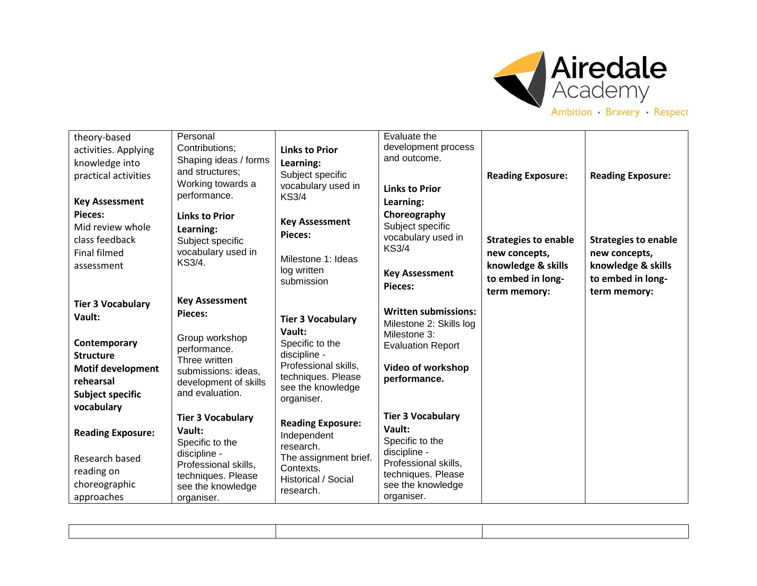

## theory-based activities. Applying knowledge into practical activities **Key Assessment Pieces:** Mid review whole class feedback Final filmed assessment **Tier 3 Vocabulary Vault: Contemporary Structure Motif development rehearsal Subject specific vocabulary Reading Exposure:** Research based reading on choreographic approaches Personal Contributions; Shaping ideas / forms and structures; Working towards a performance. **Links to Prior Learning:** Subject specific vocabulary used in KS3/4. **Key Assessment Pieces:** Group workshop performance. Three written submissions: ideas, development of skills and evaluation. **Tier 3 Vocabulary Vault:** Specific to the discipline - Professional skills, techniques. Please see the knowledge organiser. **Links to Prior Learning:** Subject specific vocabulary used in KS3/4 **Key Assessment Pieces:** Milestone 1: Ideas log written submission **Tier 3 Vocabulary Vault:** Specific to the discipline - Professional skills, techniques. Please see the knowledge organiser. **Reading Exposure:** Independent research. The assignment brief. **Contexts** Historical / Social research. Evaluate the development process and outcome. **Links to Prior Learning: Choreography**  Subject specific vocabulary used in KS3/4 **Key Assessment Pieces: Written submissions:** Milestone 2: Skills log Milestone 3: Evaluation Report **Video of workshop performance. Tier 3 Vocabulary Vault:** Specific to the discipline - Professional skills, techniques. Please see the knowledge organiser. **Reading Exposure: Strategies to enable new concepts, knowledge & skills to embed in longterm memory: Reading Exposure: Strategies to enable new concepts, knowledge & skills to embed in longterm memory:**